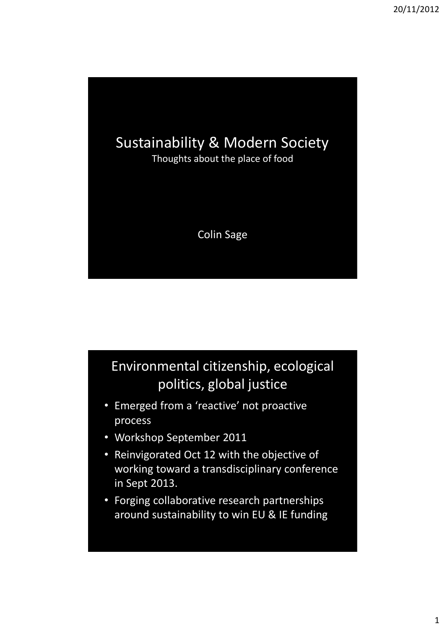

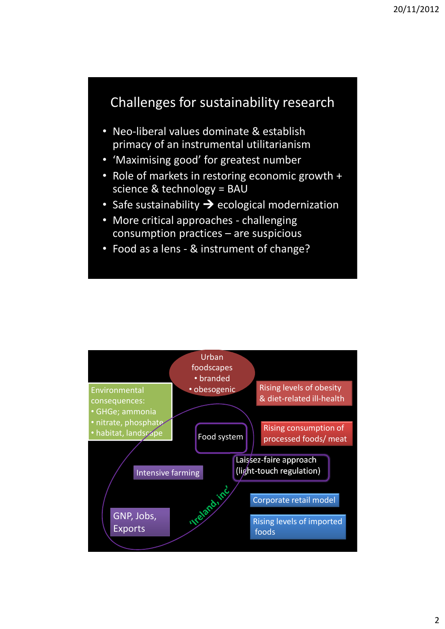## Challenges for sustainability research

- Neo-liberal values dominate & establish primacy of an instrumental utilitarianism
- 'Maximising good' for greatest number
- Role of markets in restoring economic growth + science & technology = BAU
- Safe sustainability  $\rightarrow$  ecological modernization
- More critical approaches challenging consumption practices – are suspicious
- Food as a lens & instrument of change?